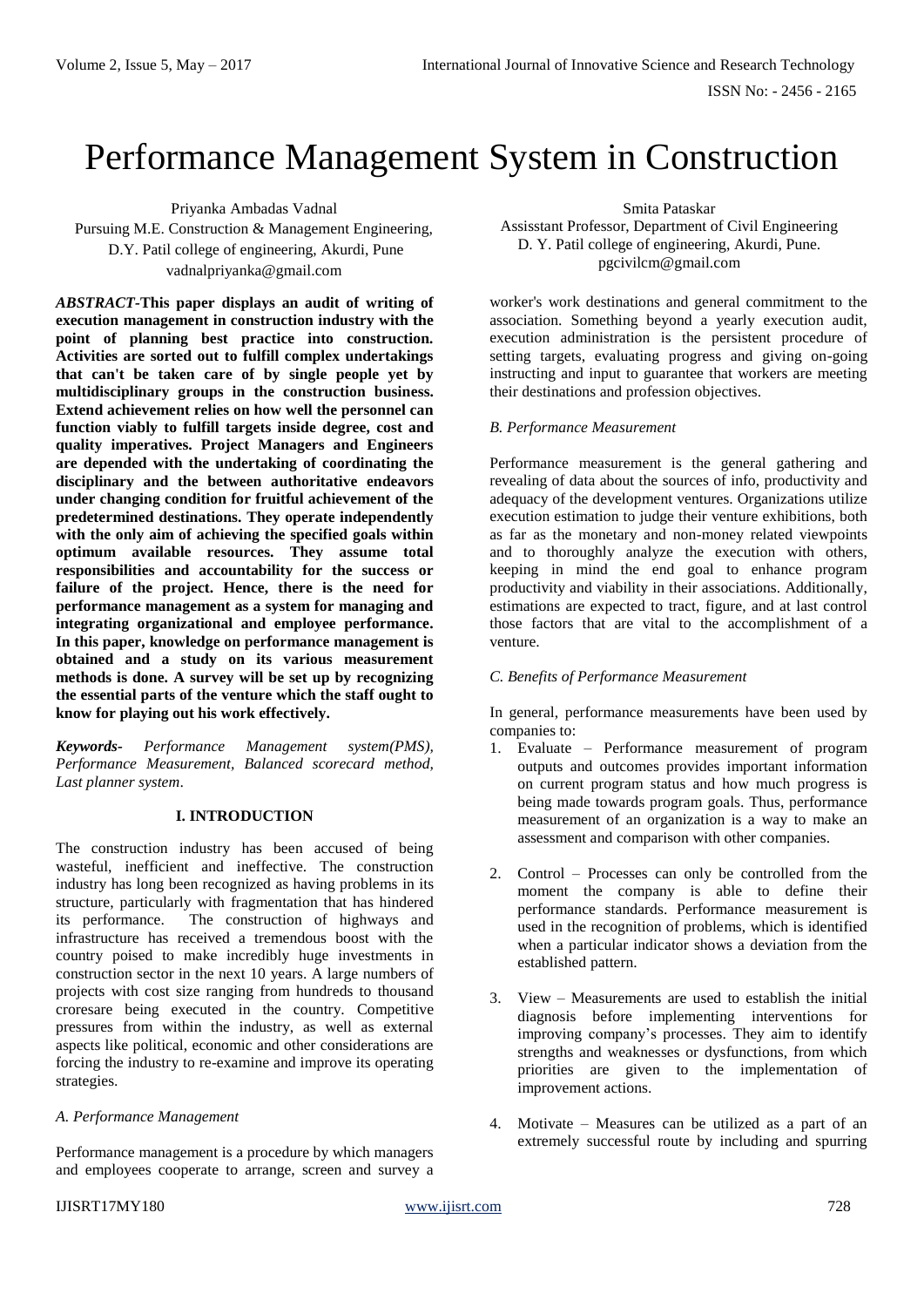# Performance Management System in Construction

Priyanka Ambadas Vadnal Pursuing M.E. Construction & Management Engineering, D.Y. Patil college of engineering, Akurdi, Pune vadnalpriyanka@gmail.com

*ABSTRACT-***This paper displays an audit of writing of execution management in construction industry with the point of planning best practice into construction***.*  **Activities are sorted out to fulfill complex undertakings that can't be taken care of by single people yet by multidisciplinary groups in the construction business. Extend achievement relies on how well the personnel can function viably to fulfill targets inside degree, cost and quality imperatives. Project Managers and Engineers are depended with the undertaking of coordinating the disciplinary and the between authoritative endeavors under changing condition for fruitful achievement of the predetermined destinations. They operate independently with the only aim of achieving the specified goals within optimum available resources. They assume total responsibilities and accountability for the success or failure of the project. Hence, there is the need for performance management as a system for managing and integrating organizational and employee performance. In this paper, knowledge on performance management is obtained and a study on its various measurement methods is done. A survey will be set up by recognizing the essential parts of the venture which the staff ought to know for playing out his work effectively.**

*Keywords- Performance Management system(PMS), Performance Measurement, Balanced scorecard method, Last planner system*.

## **I. INTRODUCTION**

The construction industry has been accused of being wasteful, inefficient and ineffective. The construction industry has long been recognized as having problems in its structure, particularly with fragmentation that has hindered its performance. The construction of highways and infrastructure has received a tremendous boost with the country poised to make incredibly huge investments in construction sector in the next 10 years. A large numbers of projects with cost size ranging from hundreds to thousand croresare being executed in the country. Competitive pressures from within the industry, as well as external aspects like political, economic and other considerations are forcing the industry to re-examine and improve its operating strategies.

#### *A. Performance Management*

Performance management is a procedure by which managers and employees cooperate to arrange, screen and survey a

Smita Pataskar Assisstant Professor, Department of Civil Engineering D. Y. Patil college of engineering, Akurdi, Pune. pgcivilcm@gmail.com

worker's work destinations and general commitment to the association. Something beyond a yearly execution audit, execution administration is the persistent procedure of setting targets, evaluating progress and giving on-going instructing and input to guarantee that workers are meeting their destinations and profession objectives.

#### *B. Performance Measurement*

Performance measurement is the general gathering and revealing of data about the sources of info, productivity and adequacy of the development ventures. Organizations utilize execution estimation to judge their venture exhibitions, both as far as the monetary and non-money related viewpoints and to thoroughly analyze the execution with others, keeping in mind the end goal to enhance program productivity and viability in their associations. Additionally, estimations are expected to tract, figure, and at last control those factors that are vital to the accomplishment of a venture.

## *C. Benefits of Performance Measurement*

In general, performance measurements have been used by companies to:

- 1. Evaluate Performance measurement of program outputs and outcomes provides important information on current program status and how much progress is being made towards program goals. Thus, performance measurement of an organization is a way to make an assessment and comparison with other companies.
- 2. Control Processes can only be controlled from the moment the company is able to define their performance standards. Performance measurement is used in the recognition of problems, which is identified when a particular indicator shows a deviation from the established pattern.
- 3. View Measurements are used to establish the initial diagnosis before implementing interventions for improving company's processes. They aim to identify strengths and weaknesses or dysfunctions, from which priorities are given to the implementation of improvement actions.
- 4. Motivate Measures can be utilized as a part of an extremely successful route by including and spurring

#### IJISRT17MY180 [www.ijisrt.com](http://www.ijisrt.com/) 728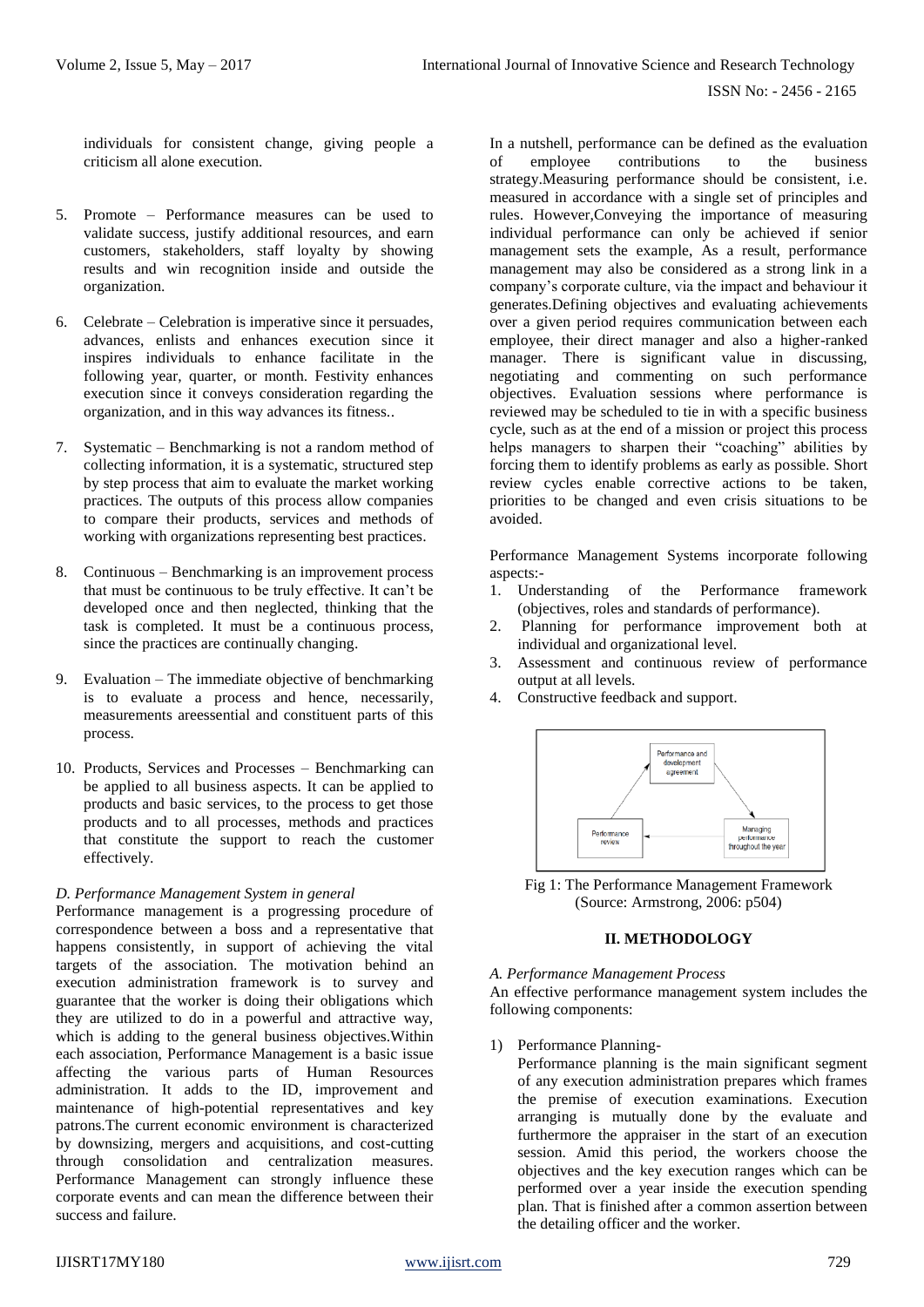individuals for consistent change, giving people a criticism all alone execution.

- 5. Promote Performance measures can be used to validate success, justify additional resources, and earn customers, stakeholders, staff loyalty by showing results and win recognition inside and outside the organization.
- 6. Celebrate Celebration is imperative since it persuades, advances, enlists and enhances execution since it inspires individuals to enhance facilitate in the following year, quarter, or month. Festivity enhances execution since it conveys consideration regarding the organization, and in this way advances its fitness..
- 7. Systematic Benchmarking is not a random method of collecting information, it is a systematic, structured step by step process that aim to evaluate the market working practices. The outputs of this process allow companies to compare their products, services and methods of working with organizations representing best practices.
- 8. Continuous Benchmarking is an improvement process that must be continuous to be truly effective. It can't be developed once and then neglected, thinking that the task is completed. It must be a continuous process, since the practices are continually changing.
- 9. Evaluation The immediate objective of benchmarking is to evaluate a process and hence, necessarily, measurements areessential and constituent parts of this process.
- 10. Products, Services and Processes Benchmarking can be applied to all business aspects. It can be applied to products and basic services, to the process to get those products and to all processes, methods and practices that constitute the support to reach the customer effectively.

# *D. Performance Management System in general*

Performance management is a progressing procedure of correspondence between a boss and a representative that happens consistently, in support of achieving the vital targets of the association. The motivation behind an execution administration framework is to survey and guarantee that the worker is doing their obligations which they are utilized to do in a powerful and attractive way, which is adding to the general business objectives.Within each association, Performance Management is a basic issue affecting the various parts of Human Resources administration. It adds to the ID, improvement and maintenance of high-potential representatives and key patrons.The current economic environment is characterized by downsizing, mergers and acquisitions, and cost-cutting through consolidation and centralization measures. Performance Management can strongly influence these corporate events and can mean the difference between their success and failure.

In a nutshell, performance can be defined as the evaluation of employee contributions to the business strategy.Measuring performance should be consistent, i.e. measured in accordance with a single set of principles and rules. However,Conveying the importance of measuring individual performance can only be achieved if senior management sets the example, As a result, performance management may also be considered as a strong link in a company's corporate culture, via the impact and behaviour it generates.Defining objectives and evaluating achievements over a given period requires communication between each employee, their direct manager and also a higher-ranked manager. There is significant value in discussing, negotiating and commenting on such performance objectives. Evaluation sessions where performance is reviewed may be scheduled to tie in with a specific business cycle, such as at the end of a mission or project this process helps managers to sharpen their "coaching" abilities by forcing them to identify problems as early as possible. Short review cycles enable corrective actions to be taken, priorities to be changed and even crisis situations to be avoided.

Performance Management Systems incorporate following aspects:-

- 1. Understanding of the Performance framework (objectives, roles and standards of performance).
- 2. Planning for performance improvement both at individual and organizational level.
- 3. Assessment and continuous review of performance output at all levels.
- 4. Constructive feedback and support.



Fig 1: The Performance Management Framework (Source: Armstrong, 2006: p504)

## **II. METHODOLOGY**

## *A. Performance Management Process*

An effective performance management system includes the following components:

1) Performance Planning-

Performance planning is the main significant segment of any execution administration prepares which frames the premise of execution examinations. Execution arranging is mutually done by the evaluate and furthermore the appraiser in the start of an execution session. Amid this period, the workers choose the objectives and the key execution ranges which can be performed over a year inside the execution spending plan. That is finished after a common assertion between the detailing officer and the worker.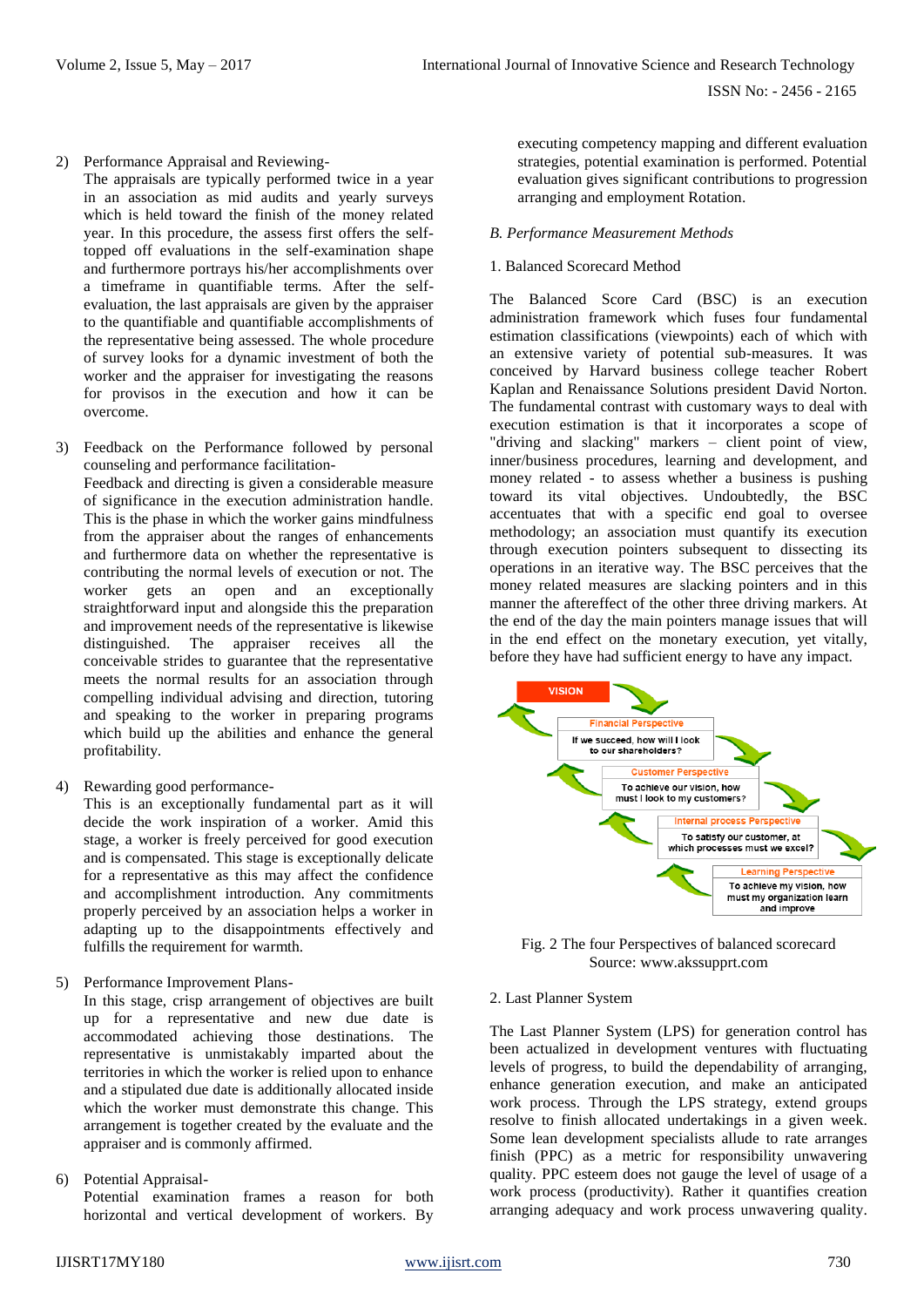2) Performance Appraisal and Reviewing-

The appraisals are typically performed twice in a year in an association as mid audits and yearly surveys which is held toward the finish of the money related year. In this procedure, the assess first offers the selftopped off evaluations in the self-examination shape and furthermore portrays his/her accomplishments over a timeframe in quantifiable terms. After the selfevaluation, the last appraisals are given by the appraiser to the quantifiable and quantifiable accomplishments of the representative being assessed. The whole procedure of survey looks for a dynamic investment of both the worker and the appraiser for investigating the reasons for provisos in the execution and how it can be overcome.

- 3) Feedback on the Performance followed by personal counseling and performance facilitation-Feedback and directing is given a considerable measure of significance in the execution administration handle. This is the phase in which the worker gains mindfulness from the appraiser about the ranges of enhancements and furthermore data on whether the representative is contributing the normal levels of execution or not. The worker gets an open and an exceptionally straightforward input and alongside this the preparation and improvement needs of the representative is likewise distinguished. The appraiser receives all the conceivable strides to guarantee that the representative meets the normal results for an association through compelling individual advising and direction, tutoring and speaking to the worker in preparing programs which build up the abilities and enhance the general profitability.
- 4) Rewarding good performance-

This is an exceptionally fundamental part as it will decide the work inspiration of a worker. Amid this stage, a worker is freely perceived for good execution and is compensated. This stage is exceptionally delicate for a representative as this may affect the confidence and accomplishment introduction. Any commitments properly perceived by an association helps a worker in adapting up to the disappointments effectively and fulfills the requirement for warmth.

5) Performance Improvement Plans-

In this stage, crisp arrangement of objectives are built up for a representative and new due date is accommodated achieving those destinations. The representative is unmistakably imparted about the territories in which the worker is relied upon to enhance and a stipulated due date is additionally allocated inside which the worker must demonstrate this change. This arrangement is together created by the evaluate and the appraiser and is commonly affirmed.

6) Potential Appraisal-Potential examination frames a reason for both horizontal and vertical development of workers. By executing competency mapping and different evaluation strategies, potential examination is performed. Potential evaluation gives significant contributions to progression arranging and employment Rotation.

## *B. Performance Measurement Methods*

# 1. Balanced Scorecard Method

The Balanced Score Card (BSC) is an execution administration framework which fuses four fundamental estimation classifications (viewpoints) each of which with an extensive variety of potential sub-measures. It was conceived by Harvard business college teacher Robert Kaplan and Renaissance Solutions president David Norton. The fundamental contrast with customary ways to deal with execution estimation is that it incorporates a scope of "driving and slacking" markers – client point of view, inner/business procedures, learning and development, and money related - to assess whether a business is pushing toward its vital objectives. Undoubtedly, the BSC accentuates that with a specific end goal to oversee methodology; an association must quantify its execution through execution pointers subsequent to dissecting its operations in an iterative way. The BSC perceives that the money related measures are slacking pointers and in this manner the aftereffect of the other three driving markers. At the end of the day the main pointers manage issues that will in the end effect on the monetary execution, yet vitally, before they have had sufficient energy to have any impact.



Fig. 2 The four Perspectives of balanced scorecard Source: www.akssupprt.com

## 2. Last Planner System

The Last Planner System (LPS) for generation control has been actualized in development ventures with fluctuating levels of progress, to build the dependability of arranging, enhance generation execution, and make an anticipated work process. Through the LPS strategy, extend groups resolve to finish allocated undertakings in a given week. Some lean development specialists allude to rate arranges finish (PPC) as a metric for responsibility unwavering quality. PPC esteem does not gauge the level of usage of a work process (productivity). Rather it quantifies creation arranging adequacy and work process unwavering quality.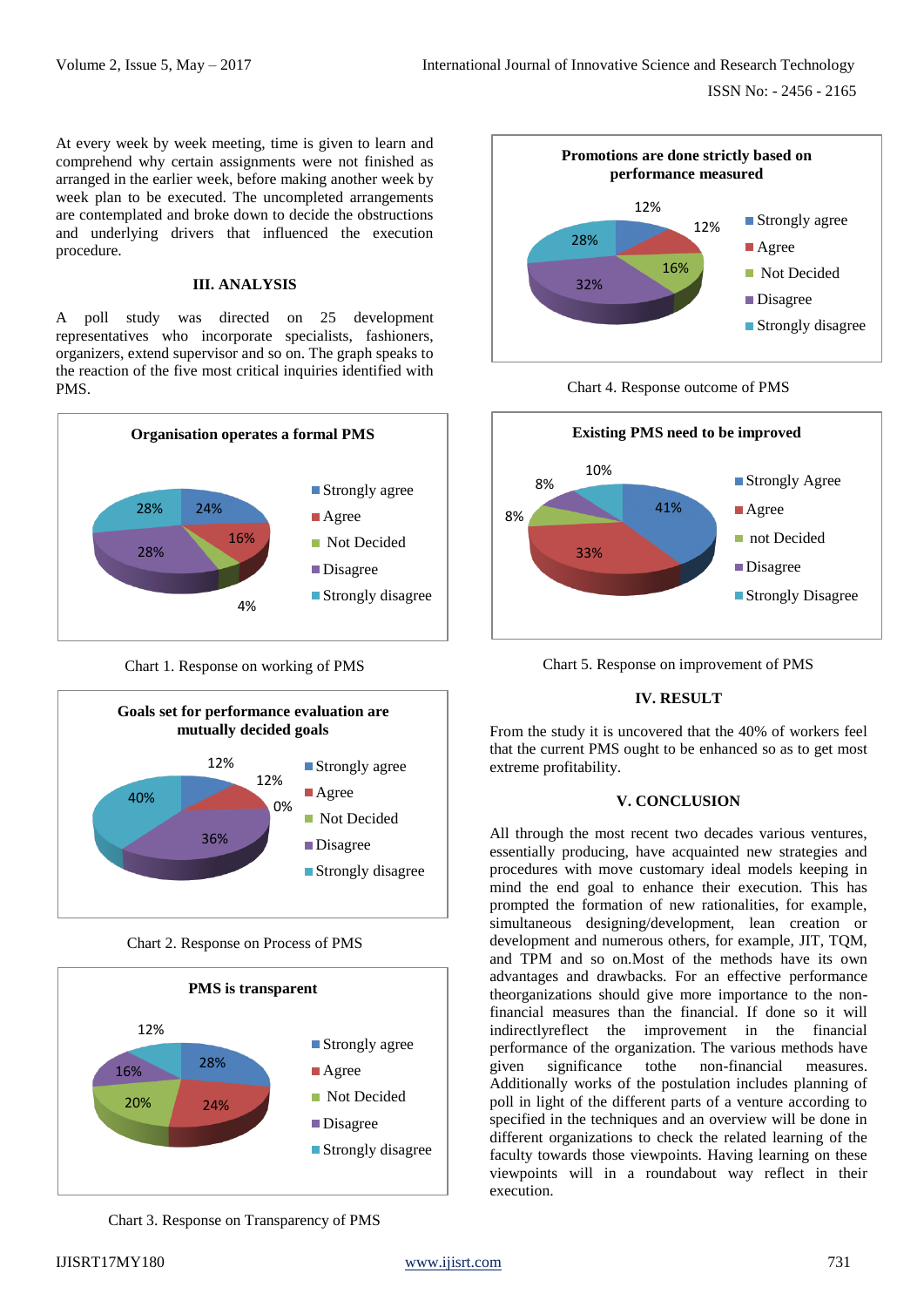ISSN No: - 2456 - 2165

At every week by week meeting, time is given to learn and comprehend why certain assignments were not finished as arranged in the earlier week, before making another week by week plan to be executed. The uncompleted arrangements are contemplated and broke down to decide the obstructions and underlying drivers that influenced the execution procedure.

## **III. ANALYSIS**

A poll study was directed on 25 development representatives who incorporate specialists, fashioners, organizers, extend supervisor and so on. The graph speaks to the reaction of the five most critical inquiries identified with PMS.



Chart 1. Response on working of PMS



Chart 2. Response on Process of PMS



Chart 3. Response on Transparency of PMS



Chart 4. Response outcome of PMS



Chart 5. Response on improvement of PMS

# **IV. RESULT**

From the study it is uncovered that the 40% of workers feel that the current PMS ought to be enhanced so as to get most extreme profitability.

#### **V. CONCLUSION**

All through the most recent two decades various ventures, essentially producing, have acquainted new strategies and procedures with move customary ideal models keeping in mind the end goal to enhance their execution. This has prompted the formation of new rationalities, for example, simultaneous designing/development, lean creation or development and numerous others, for example, JIT, TQM, and TPM and so on.Most of the methods have its own advantages and drawbacks. For an effective performance theorganizations should give more importance to the nonfinancial measures than the financial. If done so it will indirectlyreflect the improvement in the financial performance of the organization. The various methods have given significance tothe non-financial measures. Additionally works of the postulation includes planning of poll in light of the different parts of a venture according to specified in the techniques and an overview will be done in different organizations to check the related learning of the faculty towards those viewpoints. Having learning on these viewpoints will in a roundabout way reflect in their execution.